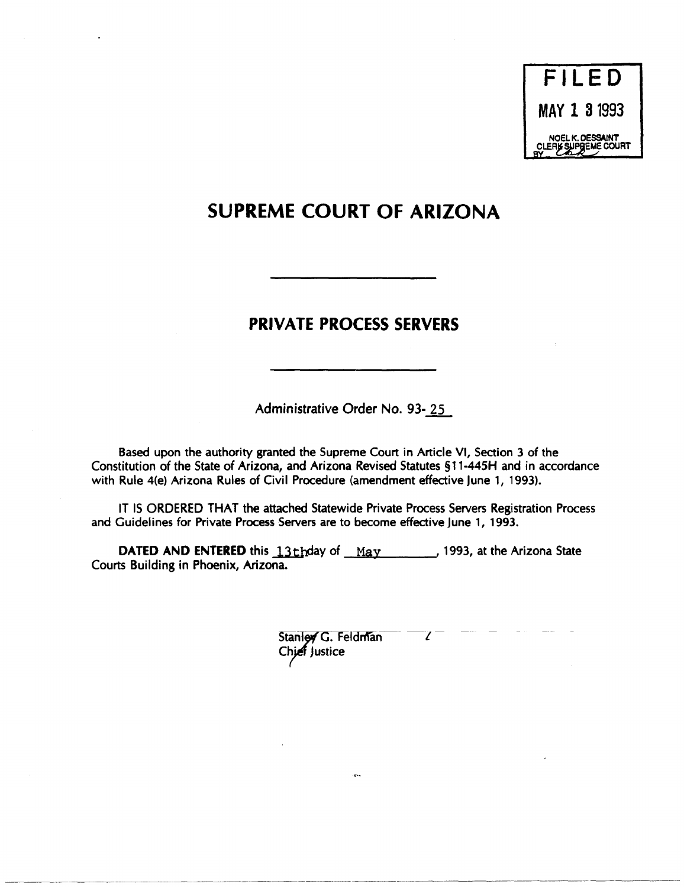# **SUPREME COURT OF ARIZONA**

# **PRIVATE PROCESS SERVERS**

Administrative Order No. 93-25

Based upon the authority granted the Supreme Court in Article VI, Section 3 of the Constitution of the State of Arizona, and Arizona Revised Statutes §11-445H and in accordance with Rule 4(e) Arizona Rules of Civil Procedure (amendment effective June 1, 1993).

IT IS ORDERED THAT the attached Statewide Private Process Servers Registration Process and Guidelines for Private Process Servers are to become effective June 1, 1993.

DATED AND ENTERED this 13thday of May 1993, at the Arizona State Courts Building in Phoenix, Arizona.

> $\mathcal{U}^{\dagger}$ Stanley G. Feldman Chief Justice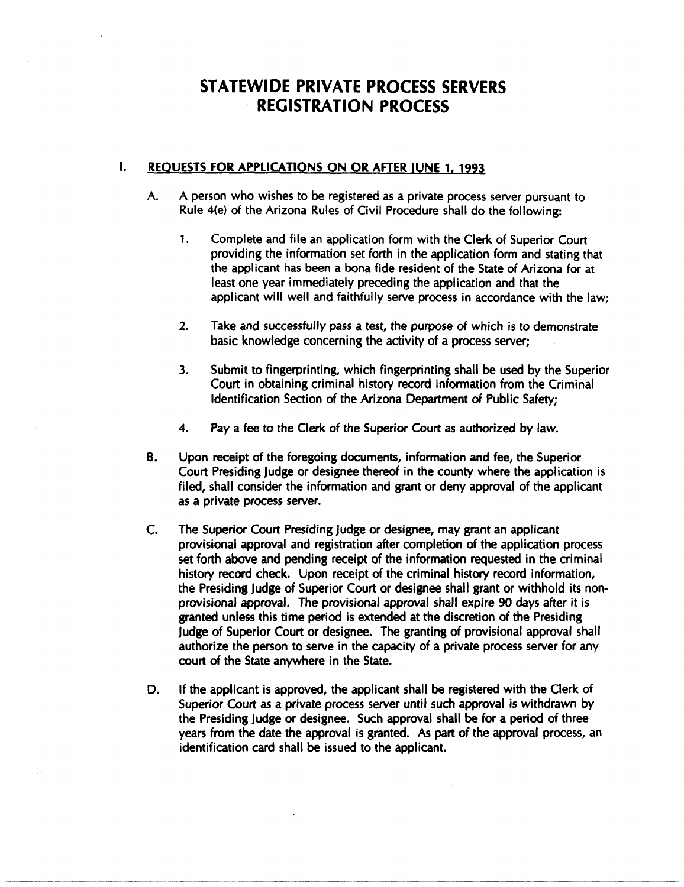# STATEWIDE PRIVATE PROCESS SERVERS REGISTRATION PROCESS

## **I. REQUESTS FOR APPLICATIONS ON OR AFTER JUNE 1, 1993**

- A. A person who wishes to be registered as a private process server pursuant to Rule 4(e) of the Arizona Rules of Civil Procedure shall do the following:
	- 1. Complete and file an application form with the Clerk of Superior Court providing the information set forth in the application form and stating that the applicant has been a bona fide resident of the State of Arizona for at least one year immediately preceding the application and that the applicant will well and faithfully serve process in accordance with the law;
	- 2. Take and successfully pass a test, the purpose of which is to demonstrate basic knowledge concerning the activity of a process server;
	- 3. Submit to fingerprinting, which fingerprinting shall be used by the Superior Court in obtaining criminal history record information from the Criminal Identification Section of the Arizona Department of Public Safety;
	- 4. Pay a fee to the Clerk of the Superior Court as authorized by law.
- B. Upon receipt of the foregoing documents, information and fee, the Superior Court Presiding Judge or designee thereof in the county where the application is filed, shall consider the information and grant or deny approval of the applicant as a private process server.
- C. The Superior Court Presiding Judge or designee, may grant an applicant provisional approval and registration after completion of the application process set forth above and pending receipt of the information requested in the criminal history record check. Upon receipt of the criminal history record information, the Presiding Judge of Superior Court or designee shall grant or withhold its nonprovisional approval. The provisional approval shall expire 90 days after it is granted unless this time period is extended at the discretion of the Presiding Judge of Superior Court or designee. The granting of provisional approval shall authorize the person to serve in the capacity of a private process server for any court of the State anywhere in the State.
- D. If the applicant is approved, the applicant shall be registered with the Clerk of Superior Court as a private process server until such approval is withdrawn by the Presiding Judge or designee. Such approval shall be for a period of three years from the date the approval is granted. As part of the approval process, an identification card shall be issued to the applicant.

. ~~-----~.---------------- -----~--------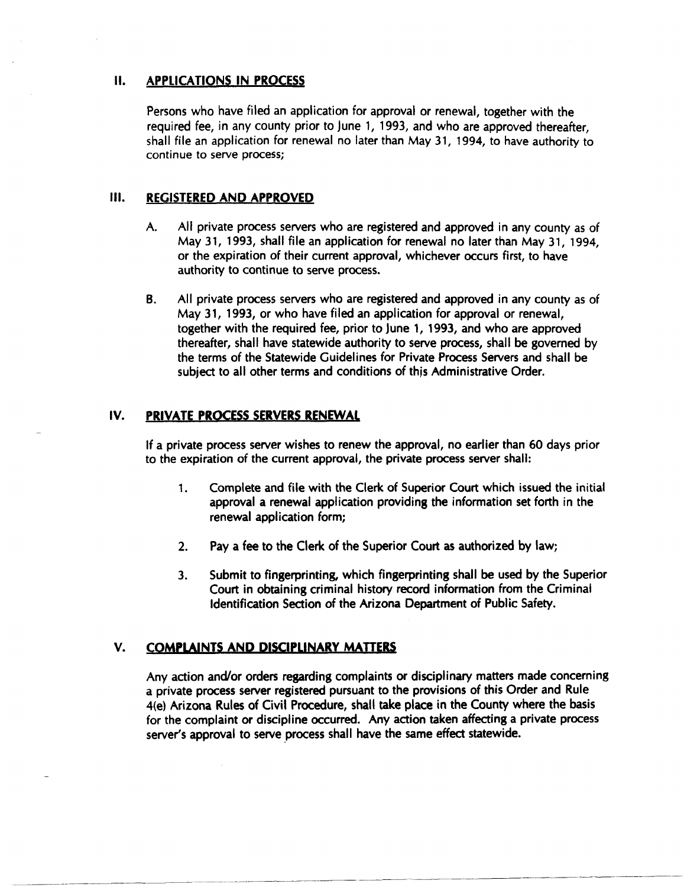### II. APPLICATIONS IN PROCESS

Persons who have filed an application for approval or renewal, together with the required fee, in any county prior to June 1, 1993, and who are approved thereafter, shall file an application for renewal no later than May 31, 1994, to have authority to continue to serve process;

### III. REGISTERED AND APPROVED

- A. All private process servers who are registered and approved in any county as of May 31, 1993, shall file an application for renewal no later than May 31, 1994, or the expiration of their current approval, whichever occurs first, to have authority to continue to serve process.
- B. All private process servers who are registered and approved in any county as of May 31, 1993, or who have filed an application for approval or renewal, together with the required fee, prior to June 1, 1993, and who are approved thereafter, shall have statewide authority to serve process, shall be governed by the terms of the Statewide Guidelines for Private Process Servers and shall be subject to all other terms and conditions of this Administrative Order.

## IV. PRIVATE PROCESS SERVERS RENEWAL

If a private process server wishes to renew the approval, no earlier than 60 days prior to the expiration of the current approval, the private process server shall:

- 1. Complete and file with the Clerk of Superior Court which issued the initial approval a renewal application providing the information set forth in the renewal application form;
- 2. Pay a fee to the Clerk of the Superior Court as authorized by law;
- 3. Submit to fingerprinting, which fingerprinting shall be used by the Superior Court in obtaining criminal history record information from the Criminal Identification Section of the Arizona Department of Public Safety.

## V. COMPLAINTS AND DISCIPLINARY MATTERS

-------~ ------ ~- ----- --- ~----- -~~---

Any action and/or orders regarding complaints or disciplinary matters made concerning a private process server registered pursuant to the provisions of this Order and Rule 4(e) Arizona Rules of Civil Procedure, shall take place in the County where the basis for the complaint or discipline occurred. Any action taken affecting a private process server's approval to serve process shall have the same effect statewide.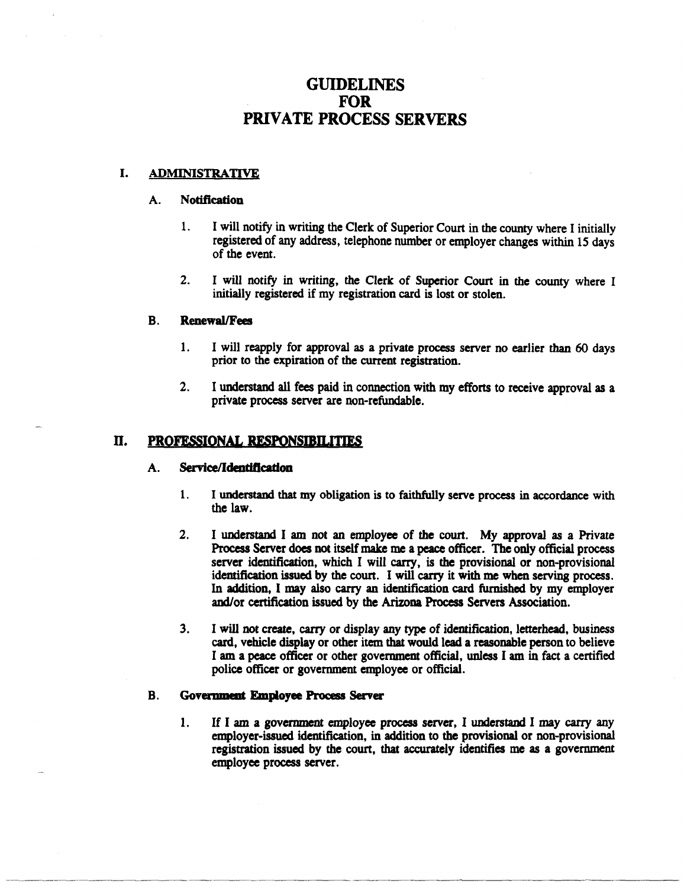## GUIDELINES **FOR** PRIVATE PROCESS SERVERS

#### I. ADMINISTRATIVE

#### A. Notification

- 1. I will notify in writing the Clerk of Superior Court in the county where I initially registered of any address, telephone number or employer changes within 15 days of the event.
- 2. I will notify in writing, the Clerk of Superior Court in the county where I initially registered if my registration card is lost or stolen.

#### B. RenewallFees

- 1. I will reapply for approval as a private process server no earlier than 60 days prior to the expiration of the current registration.
- 2. I understand all fees paid in connection with my efforts to receive approval as a private process server are non-refundable.

#### II. PROFESSIONAL RESPONSIBILITIES

#### A. Service/Identification

- 1. I understand that my obligation is to faithfully serve process in accordance with the law.
- 2. I understand I am not an employee of the court. My approval as a Private Process Server does not itself make me a peace officer. The only official process server identification, which I will carry. is the provisional or non-provisional identification issued by the court. I will carry it with me when serving process. In addition, I may also carry an identification card furnished by my employer and/or certification issued by the Arizona Process Servers Association.
- 3. I will not create, carry or display any type of identification, letterhead, business card, vehicle display or other item that would lead a reasonable person to believe I am a peace officer or other government official, unless I am in fact a certified police officer or government employee or official.

#### B. Government Employee Process Server

1. If I am a government employee process server, I understand I may carry any employer-issued identification, in addition to the provisional or non-provisional registration issued by the court, that accurately identifies me as a government employee process server.